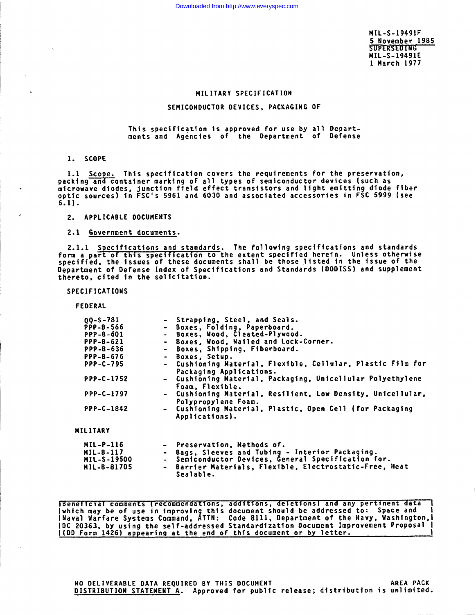**MIL-S-19491F 5 November1985 MIL-S-19491E 1 Harch 1977**

# MILITARY SPECIFICATION

## **SEMICONDUCTOR OEVICES, PACKAGING OF**

**This spec\$flcation is approved for use by all Departments and Agencies of the Department of Defense**

1. **SCOPE**

1.1 Scope. **This specification covers the requirements for the preservatio?'i, packing and container marking of all types of semiconductor devices (such as** microwave**diodes, junction field effect transistors and light emftting dtode fiber optic sources) in FSC'S 5961 and 6030 and associated accessories in FSC 5999 (see 6.1).**

**2. APPLICABLE DOCUMENTS**

**2.1 Government documents.**

2.1.1 **Specifications and standards. The following specifications and standards form** *a* **part of this specif \$cation to the extent specified herein. Unless otherwise specifted, the issues of these documents shall be those listed in the issue of the Department of Oefense Index of Specifications and Standards (0001SS) and supplement thereto, cited in the solicitation.**

**SPECIFICATIONS**

**FEDERAL**

| $00 - S - 781$     | - Strapping, Steel, and Seals.                                                         |
|--------------------|----------------------------------------------------------------------------------------|
| <b>PPP-B-566</b>   | - Boxes, Folding, Paperboard,                                                          |
| PPP-8-601          | - Boxes, Wood, Cleated-Plywood.                                                        |
| <b>PPP-B-621</b>   | - Boxes, Wood, Nailed and Lock-Corner.                                                 |
| PPP-B-636          | - Boxes, Shipping, Fiberboard.                                                         |
| <b>PPP-B-676</b>   | - Boxes, Setup.                                                                        |
| <b>PPP-C-795</b>   | - Cushioning Material, Flexible, Cellular, Plastic Film for<br>Packaging Applications. |
| <b>PPP-C-1752</b>  | - Cushioning Material, Packaging, Unicellular Polyethylene<br>Foam, Flexible.          |
| PPP-C-1797         | - Cushioning Material, Resilient, Low Density, Unicellular,<br>Polypropylene Foam.     |
| PPP-C-1842         | - Cushioning Material, Plastic, Open Cell (for Packaging<br>Applications).             |
| MILITARY           |                                                                                        |
| <b>MIL-P-116</b>   | - Preservation, Nethods of.                                                            |
| MIL-B-117          | - Bags, Sleeves and Tubing - Interior Packaging.                                       |
| <b>MIL-S-19500</b> | - Semiconductor Devices, General Specification for.                                    |
| MIL-B-81705        | - Barrier Materials, Flexible, Electrostatic-Free, Heat<br>Sealable.                   |

**T'Benerfcial comments \recommendatl ens, addltl ens, deketl** OIISI **and any pert inent data 1** lwhich may be of use in improving this document should be addressed to: space and i<br>|Naval Warfare Systems Command, ATTN: Code 8111, Department of the Navy, Washington,! **IDC 20363, by using the self-addressed Standardization Oocument Improvement Proposal ~ I(DD Form 1426) appearing at the end of this document or by letter.**

NO DELIVERABLE OATA REQUIREO BY **THIS OOCU14EMT AREA PACK OISTR18UTION STATEi4EMT A. Approved for public release; distribution is unlimited.**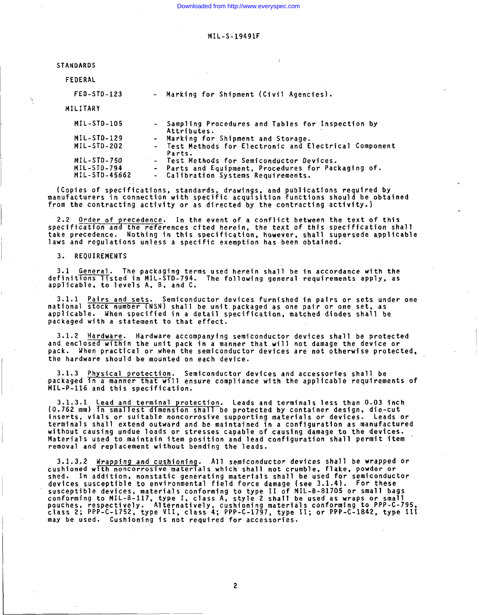Downloaded from http://www.everyspec.com

## **'MIL-S-19491F**

STANDARDS

FEDERAL

**FEO-STD-123 Marking for Shipment (Civil Agencies).**

MILITARY

| MIL-STD-105   | - Sampling Procedures and Tables for Inspection by<br>Attributes. |
|---------------|-------------------------------------------------------------------|
| MIL-STD-129   | - Marking for Shipment and Storage.                               |
| MIL-STD-202   | - Test Methods for Electronic and Electrical Component<br>Parts.  |
| MIL-STD-750   | - Test Methods for Semiconductor Devices.                         |
| MIL-STD-794   | - Parts and Equipment, Procedures for Packaging of.               |
| MIL-STD-45662 | - Calibration Systems Requirements.                               |

**(Copies of specifications, standards, drawings, and publications required by manufacturers in connection with specific acquisition functions should be obtained from the contracting activity or as directed by the contracting activity.)**

**2.2 Order of precedence. In the event of a conflict between the text of this specification and the references cited herein, the text of this specification shall take precedence. Nothing in this specification, however, shall. supersede applicable laws and regulations unless a specific exemption has been obtained.**

**3. REQUIREMENTS**

**3.1 General. The packaging terms used herein shall be in accordance with the definitions listed in MIL-STD-794. The following general requirements apply, as applicable, to levels A, B, and C.**

**3.1.1 Pairs and sets. Semiconductor devices furnished in pairs or sets under one national stock number (NSN) shall be unit packaged as one pair or one set, as applicable. When specified in a detail specification, matched diodes shall be packaged with a statement to that effect.**

**3.1.2 Hardware. Hardware accompanying semiconductor devices shall be protected and enclosed within the unit pack in a manner that will not damage the device or pack. When practical or when the semiconductor devices are not otherwise protected, the hardware should be mounted on each device.**

**3.1.3 Physical protection. Semiconductor devices and accessories shall be packaged in a manner that w{ll ensure compliance with the applicable requirements of 141L-P-116 and this specification.**

**3.1.3.1 Lead** and **terminal** protec **(0.762 mm) in smallest dimension shall Leads and terminals less than 0.03 inch be protected by container design, die-cut inserts, vials or suitable noncorrosive supporting materials or devices. Leads or terminals shall extend outward and be maintained in a configuration as manufactured without causing undue loads or stresses capable of causing damage to the devices. Materials used to maintain item position and lead configuration shall permit item removal and replacement without bending the leads.**

3.1.3.2 **Mrapping and cushioning. All semiconductor devices shall be wrapped or cushioned with noncorrosive materials which shall not crumble, flake, powder or shed. In addition, nonstatic generating materials shall be used for semiconductor** devices susceptible to environmental field force damage (see 3.1.4). For these<br>susceptible devices, materials conforming to type II of MIL-B-81705 or small bag **conforming to MIL-B-117, type 1, class A, pouches, respect stYle 2 shall be used as wraps or small Alternatively, cushioning materials conforming to PPP-C-795, class 2; PPP-C-1752, type VII, class 4; PPP-C-1797, type 11; or PPP-C-1842, type 111 may be used. Cushioning is not required for accessories.**

**2**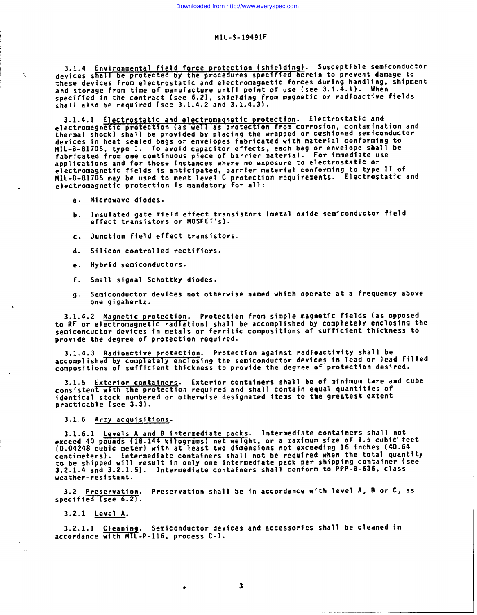### **r41L-s-19491F**

**3.1.4 Environmental Ffeld force protection (shielding). Susceptible \$emi~onductor '.. devices shall be protected by the procedures specffi ed herein to prevent damage to these devices from electrostatic and electromagnetic** *forces* **durfng handling, shipment and storage from time of manufacture untfl po\$nt of use (see 3.1.4.1). When specified in the contract (see 6.2), shielding from magnetic or radioactive fields shall** also be required (see 3.1.4.2 and 3.1.4.3).

3.1.4.1 **Electrostatic and electromaqnettc protection. Electrostatic and electromagnetic protect ion {as well as protection from corrosfon, contamination and thermal shock) shall be provided by placing the wrapped or cush\$oned semiconductor devices in heat sealed bags or envelopes fabricated wfth material conforming to MIL-B-81705, type I. To avofd capacitor effects, each bag or envelope shall be fabricated from one continuous piece of barrier material. For immediate use applications and for those Instances where no exposure to electrostatic or** electromagnetic fields is anticipated, barrier material conforming to type if of<br>MIL-B-81705 may be used to meet level C protection requirements. Electrostatic an **. electromagnetic protection is mandatory for all:**

- **a. Pifcrowave diodes.**
- **b. Insulated gate ffeld effect transistors (metal oxfde semiconductor field effect transistors or MOSFET'S).**
- **c. Junction field effect transistors.**
- **d. Silicon controlled rectifiers.**
- **e. Hybrid semiconductors.**
- **f. Small signal Schottky diodes.**
- **9. Semiconductor devices not otherwise named which operate at a frequency above one gigahertz. \$**

**3.1.4.2 Magnetic protection. Protection from simple magnetfc fields (as opposed**  $t$  $\alpha$  **RF** or electromagnetic radiation) shall be accomplished by completely enclosing the **semiconductor devices fn metals or ferritic composttlons of sufficient thickness to provide the degree of protection requfred.**

**3.1.4.3 Radioactive protection. Protection against radioactivity shall be accomplished by completely enclosing the semiconductor devices in lead or lead fflled compositions of sufficient thickness to provide the degree of"protectlon desired.**

**3.1.5 Exterfor containers. Exter\$or containers shall be of mlntmum tare and cube consistent with the protection required and shall contain equal quantities of identical stock numbered or otherwise designated items to the greatest extent practicable (see 3.3).**

**3.1.6 Army acquisitions.**

**3.1.6.1 Levels A and B intermediate packs. Intermediate containers sha?l not exceed 40 pounds 1 net weight, or a maxfmum size of 1.5 cubic' feet (0.04248 cubic meterj wlt~ a~g{~~~t two dimensions not exceeding 16 tnches (40.64 centimeters). Intermediate containers shall not be required when the total quantity** to be shipped will result in only one intermediate pack per shipping concarner ise<br>3.2.1.4 and 3.2.1.5). Intermediate containers shall conform to PPP-8-636, class **weather-reststant.**

**3.2 Preservation. Preservation shall be in accordance with level A, B** *or C,* **as specified (see 6.2).**

**3.2.1 Level A.**

**I**

 $\alpha$   $\beta$ 

**3.2.1.1 Cleanin\$. Semiconductor devices and accessories shall be cleaned fn accordance with MIL-P-116, process C-1.**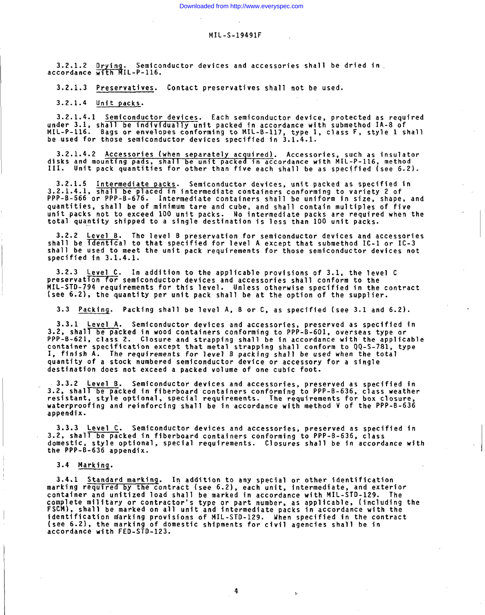**a.2.1.2** Drving 3.2.1.3 Preservatives. Contact **preservatives shall not be used.**

3.2.1.3 Preservatives. Contact preservatives shall not be used.

**3.2.1.4 Unit packs. 3.2.1.4.1 Semiconductor devices. Each semiconductor device, protected as required**

**3.2.1.4.1** Semiconductor devices. Each semiconductor device, protected as required **under** 3.1, shall be individually unit packed in accordance with submethod IA-8 of **be h for for** *the <b>i* **i** *those <b>i tomail* **<b>i** *nill -B-117, type I, class F, style 1 shall* **3.2.1.4.2 Accessories (when separately acquired). Accessories, such as insulator**

**~~;ks and mounting pads, shall be unit packed in accordance with MIL-P-116, method . Unit pack quantities for other than five each shall be as specified (see 6.2).**

**3.2.1.5** Intermediate packs. Semiconductor devices, unit packed as specified **PPP-B-566 or 'PPP-B-676. Intermediate containers shall be uniform in size, shape, and quantities. shall be of minimum tare and cube. and shall contain multiDles of five unit ~acks not to exceed 100 unit tlacks. No ~ntermedjate Dacks are rehuired when the total in the same of the same of the same of the single** *intermediate* packs are required when the **3.2.2 Level B. The level B preservation for semiconductor devices and accessories**

**3.2.2** Level B. The level B preservation for semiconductor devices and accessories shall be identical to that specified for level A except that submethod IC-1 or IC-3 shall be used to meet the unit pack requirements for those semiconductor devices not

**3.2.3** Level C. In addition to the applicable provisions of 3.1, the level C preservation for semiconductor devices and accessories shall conform to the **(see 6.2), the quantity per unit pack shall be at the option of the supplier. 3.3 Packing. Packing shall be level A, <sup>B</sup> or C, as specified (see 3.1 and 6.2). .**

3.3 Packing. Packing shall be level A, B or C, as specified (see 3.1 and 6.2). **3.3.1 Level A. Semiconductor devices and accessories, preserved as specified in**

**3.3.1 Level A.** Semiconductor devices and accessories, preserved as specified **PPP-B-621, class 2. Closure and strapping shall be in accordance with the applicable container specification except that metal strapping shall conform to QQ-S-781, type 1, container** specification except that metal strapping shall conform to QQ-S-781, type **1, finish A.** The requirements for level B packing shall be used when the total **destination does not exceed a packed volume of one cubic foot. 3.3.2 Level B. Semiconductor devices and accessories, preserved as specified in**

**3.2, shall be packed in fiberboard containers conforming to PPP-B-636, class weather resistant, style optional, special requirements. The requirements for box closure, resistant, style optional, special requirements. The requirements for box closu waterp** appendix. **3.3.3 Level C. Semiconductor devices and accessories, preserved as specified in**

**3.3.3** Level C. Semiconductor devices and accessories, preserved as specified in **domastic, shall** be packed in fiberboard containers conforming to PPP-8-636, class domestic, style optional, special requirements. Closures shall be in accordance with the PPP-B-636 appendix.

**3.4.1 Standard markinq. In addition to any special or other identification**

**marking required by the contract (see 6.2), each unit, intermediate, and exterior container and unitized load shall be marked in accordance with MIL-STD-129. The complete military or contractor's type or part number, as applicable, (including the FSCM), shall be marked on all unit and intermediate packs in accordance with the identification niarking provisions of MIL-STD-129. When specified in the contract (see 6.2), the marking of domestic shipments for civil agencies shall be in (see 6.2), the marking c** accordance with FED-STD-123.

4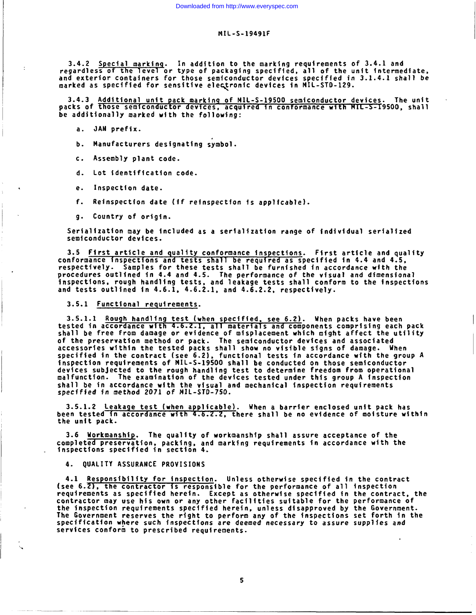**3.4.2 Special markinq. In addft40n to the marking requirements of 3.4.1 and regardless of the level or type of packagfng specfffed, all of the unft intermediate, and exterior containers for those semiconductor devices spectffed in 3.1.4.1 shall be marked as specified for sensitfve ele~ronic devices 4n MIL-STD-129.**

**3.4.3 Additional unit pack markinq of NIL-S-19500 semiconductor devices. The unit ~ packs of hose semiconductor devices, acqu\$red tn conformance with IL -s-f9500, shall be additionally marked ulth the follow~ng:**

- a. JAN **preffx.**
- **b. Manufacturers designating symbol.**
- **c. Assembly plant code.**
- **d. Lot identification code.**
- t **e. Inspection date.**
- **f. Reinspection date (ff reinspection Is applicable).**
- **9\* Country of origtn.**

**Serialization** may **be Included as a serlalfzat\$on range of individual serialized semfcoaductor devices.**

**3.5 First article and quality conformance inspections. First article and quality** conformance**inspections and tests shall be required as specif+ed fn 4.4 and 4.5, respectively. Samples for these tests shall be furnished fn accordance wtth the procedures outltned fn 4.4 and 4.5. The performance Of the vfsua? and dimensional inspections, rough handlfng tests, and leakage tests shall conform** to **the inspections and tests outlfned fn 4.6.1, 4.6.2.1, and 4.6.2.2, respectively.**

**3.5.1 Functional requirements.**

**3.5.1.1 Rough handlfng test (when specff4ed, see 6.2). When packs have been tested** *in* accordance**ulth** 4.6.Z.1, **all materials and components comprising each pack shall be free from damage or evidence of misplacement whfch mfght affect the utility of the preservation method or pack. The semiconductor devices and associated accessories** *within* **the tested packs shall show no vistble s4gns of damage. Uhen specif\$ed tn the contract (see 6.2), functional tests fn accordance with the group A inspection requirements of MIL-S-19500 shall be conducted on those semiconductor devices subjected to the rough handling test to determine freedom from operational malfunction. The examination of the devices tested under thfs group A inspection shall be in accordance wfth the visual and mechanical inspection requirements specffied \$n** method 2071 of MIL-STD-750.

**3.5.1.2 Leakage test (when applicable). When a barrfer enclosed unit pack has been tested in accordance with 4.6.2.2 . there shall be no evidence of mofsture withfn the unit pack.**

**3.6 Uorkmanshl The qualfty of uorkmanshfp shall assure acceptance of the ~" complete preservation, pack\$ng, and markfng requirements In accordance with the inspections specified in sect~on 4.**

**4. QUALITY ASSURANCE PROVISIONS**

,.,

**4.1 Respons4btlity for inspection. Unless otherwise speclf\$ed in the contract (see 6.2 ), the contractor is responsible for the performance of all inspection requirements as spec\$fied here\$n. Except as otherwise specified in the contract, the contractor may use his own or any other facilities suitable for the the ~nspection requirements specffted herein, unless disapproved by The Government reserves the right to perform any of the Inspections specfffcatton where such inspections are deemed necessary** *to assure* **supplies and services conform to prescribed requirements. performance of the Government. set forth in the**

**5**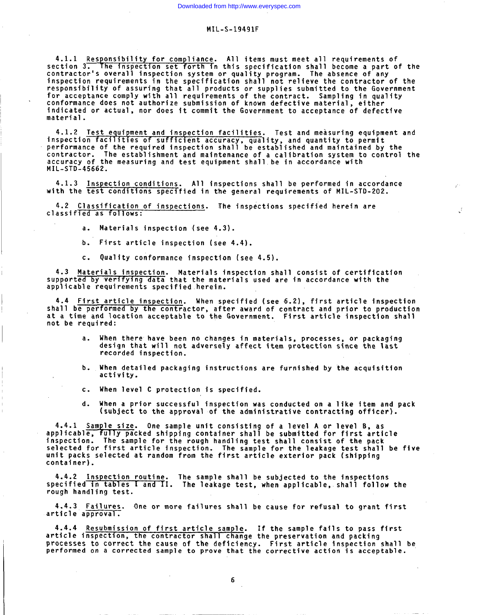**4.1.1 Responsibility for compliance. All items must meet all requirements of section 3. he inspection set forth in this specification shall become a part of the contractor's overall inspection system or quality program. The absence of any inspection requirements in the specification shall not relieve the contractor of the responsibility of assuring that all products or supplies submitted to the Government for acceptance comply with all requirements of the contract. Sampling in quality conformance does not authorize submission of known defective material, either indicated or actual, nor does it commit the Government to acceptance of defective material .**

**4.1.2 Test equipment and inspection facilities. Test and measuring equipment and inspection facllltles of suff lclent accuracy, quality, performance of the required inspection shall be establ contractor. The establishment and maintenance of a ca" ibration system to control the accuracy of the measuring and test equipment shall be n accordance with MIL-STD-45662. and quantity to permit shed and maintained by the**

**4.1.3 Inspection conditions. All inspections shall be performed in accordance with the test conditions specified in the general requ ,rements of MIL-STD-202.**

4.2 **Classification of inspections. The inspections classified as follows: specified herein are**

**a. Materials inspection (see 4.3).**

**1**

- **b. First article inspection (see 4.4).**
- **c. Quality conformance inspection (see 4.5).**

**4.3 Materials inspection. Materials inspection shall consist of certification supported by verifying data that the materials used are in accordance with the applicable requirements specified herein.**

**4.4 First article inspection. When specified (see 6.2), first article inspection shall be performed by the contractor, after award of contract and prior to production at a time and location acceptable to the Government. First article inspection shall not be required:**

- **a. When therehave been no changes in materials, processes, or packaging design that will not adversely affect item protection since the last recorded inspection.**
- **b. When detailed packaging instructions are furnished by the acquisition activity.**
- **c. When level C protection is specified.**
- **d. When a prior successful inspection was conducted on a like item and pack (subject to the approval of the administrative contracting officer).**

**a~;~~~blp" u y packed shipping container shall be submitted for first article One sample unit consisting of a level A or level B, as inspection. The sample for the rough handling test shall consist of the pack selected for first article inspection. The sample for the leakage test shall be five unit packs selected at random from the first article exterior pack (shipping container).**

**4.4.2 Inspection routine. The sample shall be subjected to the inspections specified in tables I and rI. The leakage test, when applicable,s hall follow the rough handling test.**

**4.4.3 Failures. One or more failures shall be cause for refusal to grant first article approval.**

**4.4.4 Resubmission of first article sample.** If **the sample fails to pass first article inspection, the contractor shall change the preservation and packing processes to correct the cause of the deficiency. First article inspection shall be performed on a corrected sample to prove that the corrective action is acceptable.**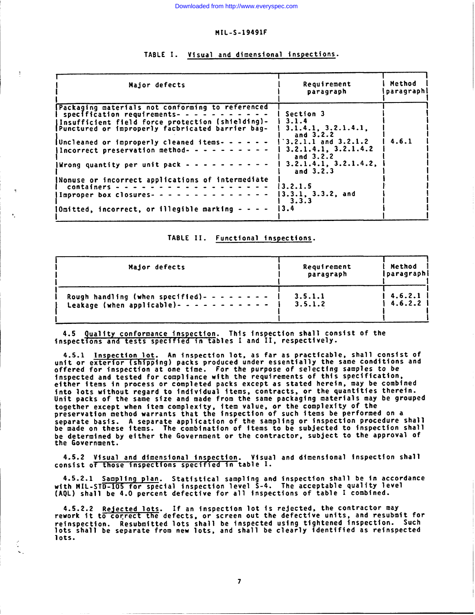| Major defects                                                                                                                                                                                                                                                                                                                                                           | Requirement<br>paragraph                                                                                                                                    | Method<br>paragraphi |  |
|-------------------------------------------------------------------------------------------------------------------------------------------------------------------------------------------------------------------------------------------------------------------------------------------------------------------------------------------------------------------------|-------------------------------------------------------------------------------------------------------------------------------------------------------------|----------------------|--|
| Packaging materials not conforming to referenced<br>  specification requirements- - - - - - - -<br> Insufficient field force protection (shielding)-<br>Punctured or improperly facbricated barrier bag-<br> Uncleaned or improperly cleaned items- - - - - -<br>Incorrect preservation method- - - - - - - - - -<br>Wrong quantity per unit pack $-$ - - - - - - - - - | Section 3<br>3.1.4<br>3.1.4.1, 3.2.1.4.1<br>and 3.2.2<br>$3.2.1.1$ and $3.2.1.2$<br>3.2.1.4.1, 3.2.1.4.2<br>and 3.2.2<br>3.2.1.4.1, 3.2.1.4.2,<br>and 3.2.3 | 4.6.1                |  |
| Nonuse or incorrect applications of intermediate<br>containers -<br>Improper box closures - - - - - - - - - - - - - -<br>lOmitted, incorrect, or illegible marking - - - -                                                                                                                                                                                              | 13.2.1.5<br>13.3.1, 3.3.2, and<br>3.3.3<br>l 3.4                                                                                                            |                      |  |

# TABLE I. Visual and dimensional inspections.

 $\ddot{\cdot}$ 

## TABLE II. Functional inspections.

| Major defects                                   | Requirement<br>paragraph | Method<br>  paragraph |
|-------------------------------------------------|--------------------------|-----------------------|
| Rough handling (when specified)- - - - - - - -  | 3.5.1.1                  | 1, 4.6.2.1            |
| Leakage (when applicable) - - - - - - - - - - - | 3.5.1.2                  | 4.6.2.2               |

Quality conformance inspection. This inspection shall consist of the inspections and tests specified in tables I and II, respectively.

4.5.1 Inspection lot. An inspection lot, as far as practicable, shall consist of unit or exterior (shipping) packs produced under essentially the same conditions and offered for inspection at one time. For the purpose of selecting samples to be<br>inspected and tested for compliance with the requirements of this specification, either items in process or completed packs except as stated herein, may be combined into lots without regard to individual items, contracts, or the quantities therein.<br>Unit packs of the same size and made from the same packaging materials may be grouped together except when item complexity, item value, or the complexity of the<br>preservation method warrants that the inspection of such items be performed on a separate basis. A separate application of the sampling or inspection procedure shall<br>be made on these items. The combination of items to be subjected to inspection shall be determined by either the Government or the contractor, subject to the approval of the Government.

4.5.2 Visual and dimensional inspection. Visual and dimensional inspection shall consist of those inspections specified in table I.

4.5.2.1 Sampling plan. Statistical sampling and inspection shall be in accordance with MIL-STD-105 for special inspection level 5-4. The acceptable quality level (AQL) shall be 4.0 percent defective for all inspections of table I combined.

4.5.2.2 Rejected lots. If an inspection lot is rejected, the contractor may<br>rework it to correct the defects, or screen out the defective units, and resubmit for reinspection. Resubmitted lots shall be inspected using tightened inspection. Such lots shall be separate from new lots, and shall be clearly identified as reinspected lots.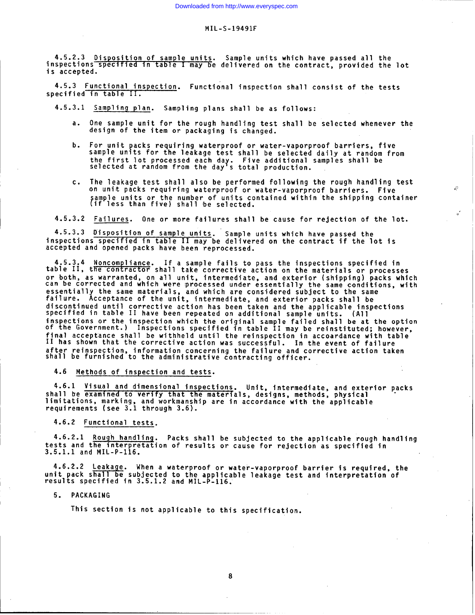**4.5.2.3 Disposition of sample units. Sample units which have passed all the inspections specified in table may be delivered on the contract, provided the lot is accepted.**

**4.5.3 Functional inspection. Functional inspection shall consist of the tests specified in table** II.

**4.5.3.1 Sampling plan. Sampling plans shall be as follows:**

- **a. One sample unit for the rough handling test shall be selected whenever the design of the item or packaging is changed.**
- **b. For unit packs requiring waterproof or water-vaporproof barriers, five sample units for the leakage test shall be selected daily at random from** the first lot processed each day. Five additional samples shall be<br>selected at random from the day's total production.
- **c. The leakaae test shall also be oerformed followinci** . **the rouah handling test on unit picks requiring waterproof or water-vaporproof barriers. Five ,::** sample units or the number or units contained within the shipping container<br>(if less than five) shall be selected.

**4.5.3.2 Failures. One or more failures shall be cause for rejection of the lot.**

4.5.3.3 **Disposition of** sample units. **Sample units which have passed the inspections specified in table II may be delivered on the contract if the lot is accepted and opened packs have been reprocessed.**

**4.5.3.4 Noncompliance.** If **a sample fails to pass the inspections specified in table** II, **the contractor shall take corrective action on the materials or processes** or both, as warranted, on all unit, intermediate, and exterior (shipping) packs which<br>can be corrected and which were processed under essentially the same conditions, wil **essentially the same materials, failure. and which are considered subject to the same Acceptance of the unit, intermediate, and exterior packs shall be** discontinued until corrective action nas been taken and the applicable inspec<br>specified in table II have been repeated on additional sample units. (All inspections or the inspection which the original sample failed shall be at the opti<br>of the Government.) Inspections specified in table II may be reinstituted; however **final acceptance shall be withheld until the reinspection in accordance with table** II **has shown that the corrective action was successful. In the event of failure** after reinspection, information concerning the failure and corrective action tak<br>shall be furnished to the administrative contracting officer.

**4.6 Methods of inspection and tests.**

**4.6.1 Visu,al and dimensional inspections. Unit, intermediate, and exterior packs shall be examined to verify that the mater{als, designs, methods, physical " limitations, marking, and workmanship are in accordance with the applicable requirements (see 3.1 through 3.6).**

**4.6.2 Functional tests.**

**4.6.2.1 Rough handling. Packs shall be subjected to the applicable rough handling tests and the interpretation of results or cause for rejection as specified in 3.5.1.1 and MIL-P-116.**

**4.6.2.2 Leakage. When a waterproof or water-vaporproof barrier is required, the unit pack shall be subjected to the applicable leakage test and interpretation of results specified in 3.5.1.2 and MIL-P-116;**

**5. PACKAGING**

**This section is not applicable to this specification.**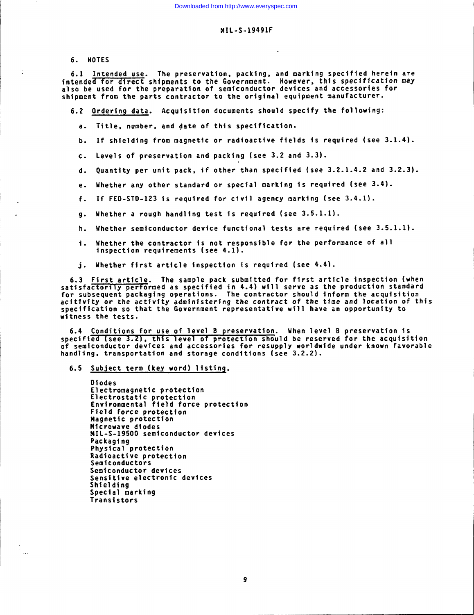6. **NOTES**

 $6.1$  **Intended use.** The preservation, packing, and marking specified herein are **\$ntended for d\$ rect shipments to the Government. However, thfs specff\$cation nay also be used for the preparation of semiconductor dev!ces and accessories for shipment from the parts contractor to the or\$ginal equipment manufacturer.**

- **6.2 Ordering data. Acquisition documents should specify** *the* **followlng:**
	- a. **Title, number, and date of this speciflcat!on.**
	- **b. If shielding from magnetfc or radioactive fields Is required (see 3.1.4).**
	- **c. Levels of preservation and packfng (see 3.2 and 3.3).**
	- **d. Quantity per unit pack, if other than spectffed (see 3.2.1.4.2 and 3.2.3).**
	- **e. Whether any other standard or special marking is required (see 3.4).**
	- **f. If FED-STD-123 is required for civil agency marking (see 3.4.1).**
	- **9. Uhether a rough handling test is requfred (see 3.5.1.1).**
	- **h. Whether semiconductor device functional tests are required** *(see* **3.5.1.1}.**
	- i. **Whether the contractor is not responsible for the performance of a** 1 **inspection requirements (see 4.1).**
	- **j. Idhether first article Inspection Is required (see 4.4).**

**6.3 First artfcle. The sample pack submitted for first article inspecton (when satisfactorily performed as specified in 4.4) wfll serve** *as* **the production standard for subsequent packaging operations. The contractor should inform the acquisition acitfvfty or the activftv adminfstertna the** *contract of* **the time and location of this speciffc~tton so that th; Government r~presentative will have an opportunity to witness the tests.**

6.4 Conditionsfor **use of level B preservation. When level B preservation is specified (see 3.2) , this level of protection should be reserved for the acquisition of semiconductor devices and accessories for resupply worldwfde under known favorable handling, transportation and storage conditions (see 3.2.2).**

## **6.5 Subject term (key word) Iist\$nq.**

 $\frac{1}{2}$ 

```
Diodes
Electromagnetic protection
Electrostatic protec
Environmental field force protec
Field force protection
Magnetic protection
Wicrowave diodes
t41L-S-19500 semiconductor devices
Packaging
Physical protection
Radioactive protection
Semiconductors
Semiconductor devices
Sens$t$ve electronic devices
Shtelding
Special marking
Transistors
```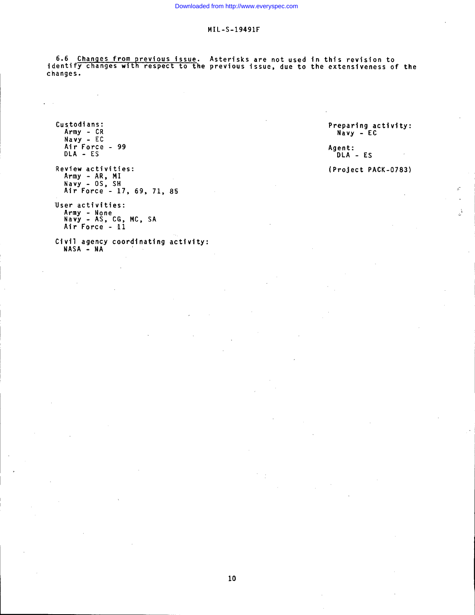**6.6 Changes from previous issue. Asterisks are not used in this revision to identify changes with respect to the previous issue, due to the extensiveness of the changes.**

**Custodians: Army - CR Navy - EC Air Force - 99 DLA - ES**

I

 $\overline{\phantom{a}}$ 

**Review activities: Army - AR,** MI **Navy - OS, SH Air Force - 17, 69, 71, 8'5**

**"User activities: Army - None Navy - AS, CG, MC, SA Air Force - 11**

**Civil agency coordinating activity: NASA - MA**

**Preparing activity: Navy - EC**

**Agent: DLA - ES**

# **(Project PACK-0783)**

 $\mathcal{L}^{\frac{1}{2}}$ 

**."**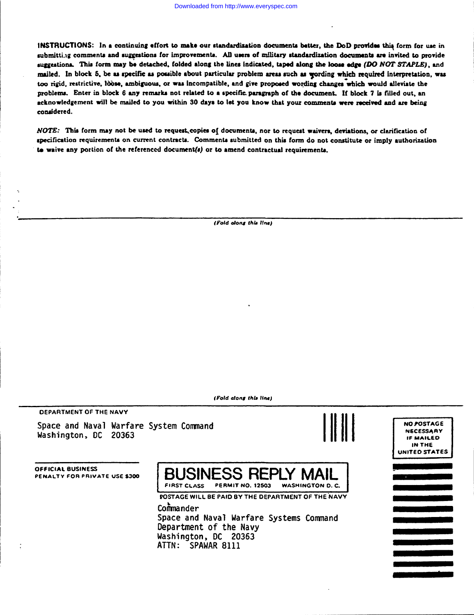INSTRUCTIONS: In a continuing effort to make our standardization documents better, the DoD provides this form for use in submitting comments and suggestions for improvements. All users of military standardization documents are invited to provide suggestions. This form may be detached, folded along the lines indicated, taped along the loose edge (DO NOT STAPLE), and mailed. In block 5, be as specific as possible about particular problem areas such as wording which required interpretation, was too rigid, restrictive, lòose, ambiguous, or was incompatible, and give proposed wording changes which would alleviate the problems. Enter in block 6 any remarks not related to a specific paragraph of the document. If block 7 is filled out, an acknowledgement will be mailed to you within 30 days to let you know that your comments were received and are being considered.

NOTE: This form may not be used to request, copies of documents, nor to request waivers, deviations, or clarification of specification requirements on current contracts. Comments submitted on this form do not constitute or imply authorization to waive any portion of the referenced document(s) or to amend contractual requirements.

(Fold along this line)

(Fold along this line)

**DEPARTMENT OF THE NAVY** 

Space and Naval Warfare System Command Washington, DC 20363





**NO POSTAGE** 

**OFFICIAL BUSINESS** PENALTY FOR PRIVATE USE \$300

**BUSINESS REPLY MAIL** FIRST CLASS PERMIT NO. 12503 **WASHINGTON D. C.** 

POSTAGE WILL BE PAID BY THE DEPARTMENT OF THE NAVY

Commander Space and Naval Warfare Systems Command Department of the Navy Washington, DC 20363 ATTN: SPAWAR 8111